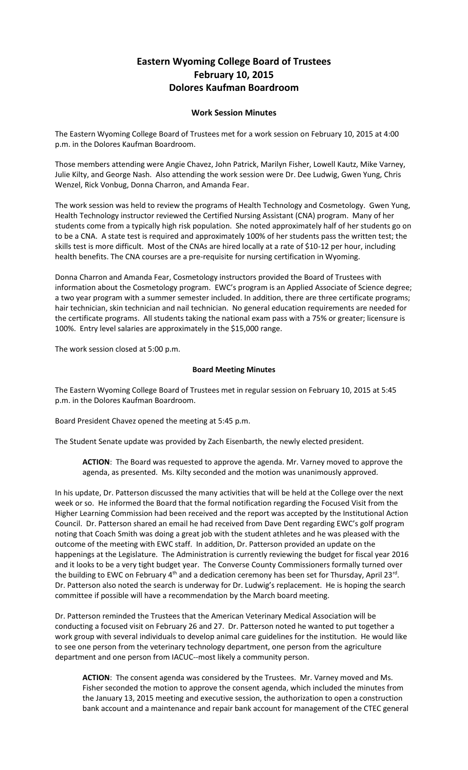## **Eastern Wyoming College Board of Trustees February 10, 2015 Dolores Kaufman Boardroom**

## **Work Session Minutes**

The Eastern Wyoming College Board of Trustees met for a work session on February 10, 2015 at 4:00 p.m. in the Dolores Kaufman Boardroom.

Those members attending were Angie Chavez, John Patrick, Marilyn Fisher, Lowell Kautz, Mike Varney, Julie Kilty, and George Nash. Also attending the work session were Dr. Dee Ludwig, Gwen Yung, Chris Wenzel, Rick Vonbug, Donna Charron, and Amanda Fear.

The work session was held to review the programs of Health Technology and Cosmetology. Gwen Yung, Health Technology instructor reviewed the Certified Nursing Assistant (CNA) program. Many of her students come from a typically high risk population. She noted approximately half of her students go on to be a CNA. A state test is required and approximately 100% of her students pass the written test; the skills test is more difficult. Most of the CNAs are hired locally at a rate of \$10-12 per hour, including health benefits. The CNA courses are a pre-requisite for nursing certification in Wyoming.

Donna Charron and Amanda Fear, Cosmetology instructors provided the Board of Trustees with information about the Cosmetology program. EWC's program is an Applied Associate of Science degree; a two year program with a summer semester included. In addition, there are three certificate programs; hair technician, skin technician and nail technician. No general education requirements are needed for the certificate programs. All students taking the national exam pass with a 75% or greater; licensure is 100%. Entry level salaries are approximately in the \$15,000 range.

The work session closed at 5:00 p.m.

## **Board Meeting Minutes**

The Eastern Wyoming College Board of Trustees met in regular session on February 10, 2015 at 5:45 p.m. in the Dolores Kaufman Boardroom.

Board President Chavez opened the meeting at 5:45 p.m.

The Student Senate update was provided by Zach Eisenbarth, the newly elected president.

**ACTION**: The Board was requested to approve the agenda. Mr. Varney moved to approve the agenda, as presented. Ms. Kilty seconded and the motion was unanimously approved.

In his update, Dr. Patterson discussed the many activities that will be held at the College over the next week or so. He informed the Board that the formal notification regarding the Focused Visit from the Higher Learning Commission had been received and the report was accepted by the Institutional Action Council. Dr. Patterson shared an email he had received from Dave Dent regarding EWC's golf program noting that Coach Smith was doing a great job with the student athletes and he was pleased with the outcome of the meeting with EWC staff. In addition, Dr. Patterson provided an update on the happenings at the Legislature. The Administration is currently reviewing the budget for fiscal year 2016 and it looks to be a very tight budget year. The Converse County Commissioners formally turned over the building to EWC on February 4<sup>th</sup> and a dedication ceremony has been set for Thursday, April 23<sup>rd</sup>. Dr. Patterson also noted the search is underway for Dr. Ludwig's replacement. He is hoping the search committee if possible will have a recommendation by the March board meeting.

Dr. Patterson reminded the Trustees that the American Veterinary Medical Association will be conducting a focused visit on February 26 and 27. Dr. Patterson noted he wanted to put together a work group with several individuals to develop animal care guidelines for the institution. He would like to see one person from the veterinary technology department, one person from the agriculture department and one person from IACUC--most likely a community person.

**ACTION**: The consent agenda was considered by the Trustees. Mr. Varney moved and Ms. Fisher seconded the motion to approve the consent agenda, which included the minutes from the January 13, 2015 meeting and executive session, the authorization to open a construction bank account and a maintenance and repair bank account for management of the CTEC general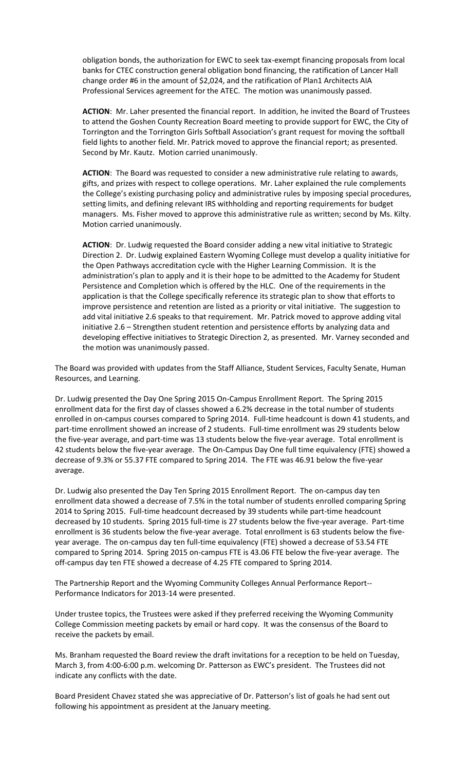obligation bonds, the authorization for EWC to seek tax-exempt financing proposals from local banks for CTEC construction general obligation bond financing, the ratification of Lancer Hall change order #6 in the amount of \$2,024, and the ratification of Plan1 Architects AIA Professional Services agreement for the ATEC. The motion was unanimously passed.

**ACTION**: Mr. Laher presented the financial report. In addition, he invited the Board of Trustees to attend the Goshen County Recreation Board meeting to provide support for EWC, the City of Torrington and the Torrington Girls Softball Association's grant request for moving the softball field lights to another field. Mr. Patrick moved to approve the financial report; as presented. Second by Mr. Kautz. Motion carried unanimously.

**ACTION**: The Board was requested to consider a new administrative rule relating to awards, gifts, and prizes with respect to college operations. Mr. Laher explained the rule complements the College's existing purchasing policy and administrative rules by imposing special procedures, setting limits, and defining relevant IRS withholding and reporting requirements for budget managers. Ms. Fisher moved to approve this administrative rule as written; second by Ms. Kilty. Motion carried unanimously.

**ACTION**: Dr. Ludwig requested the Board consider adding a new vital initiative to Strategic Direction 2. Dr. Ludwig explained Eastern Wyoming College must develop a quality initiative for the Open Pathways accreditation cycle with the Higher Learning Commission. It is the administration's plan to apply and it is their hope to be admitted to the Academy for Student Persistence and Completion which is offered by the HLC. One of the requirements in the application is that the College specifically reference its strategic plan to show that efforts to improve persistence and retention are listed as a priority or vital initiative. The suggestion to add vital initiative 2.6 speaks to that requirement. Mr. Patrick moved to approve adding vital initiative 2.6 – Strengthen student retention and persistence efforts by analyzing data and developing effective initiatives to Strategic Direction 2, as presented. Mr. Varney seconded and the motion was unanimously passed.

The Board was provided with updates from the Staff Alliance, Student Services, Faculty Senate, Human Resources, and Learning.

Dr. Ludwig presented the Day One Spring 2015 On-Campus Enrollment Report. The Spring 2015 enrollment data for the first day of classes showed a 6.2% decrease in the total number of students enrolled in on-campus courses compared to Spring 2014. Full-time headcount is down 41 students, and part-time enrollment showed an increase of 2 students. Full-time enrollment was 29 students below the five-year average, and part-time was 13 students below the five-year average. Total enrollment is 42 students below the five-year average. The On-Campus Day One full time equivalency (FTE) showed a decrease of 9.3% or 55.37 FTE compared to Spring 2014. The FTE was 46.91 below the five-year average.

Dr. Ludwig also presented the Day Ten Spring 2015 Enrollment Report. The on-campus day ten enrollment data showed a decrease of 7.5% in the total number of students enrolled comparing Spring 2014 to Spring 2015. Full-time headcount decreased by 39 students while part-time headcount decreased by 10 students. Spring 2015 full-time is 27 students below the five-year average. Part-time enrollment is 36 students below the five-year average. Total enrollment is 63 students below the fiveyear average. The on-campus day ten full-time equivalency (FTE) showed a decrease of 53.54 FTE compared to Spring 2014. Spring 2015 on-campus FTE is 43.06 FTE below the five-year average. The off-campus day ten FTE showed a decrease of 4.25 FTE compared to Spring 2014.

The Partnership Report and the Wyoming Community Colleges Annual Performance Report-- Performance Indicators for 2013-14 were presented.

Under trustee topics, the Trustees were asked if they preferred receiving the Wyoming Community College Commission meeting packets by email or hard copy. It was the consensus of the Board to receive the packets by email.

Ms. Branham requested the Board review the draft invitations for a reception to be held on Tuesday, March 3, from 4:00-6:00 p.m. welcoming Dr. Patterson as EWC's president. The Trustees did not indicate any conflicts with the date.

Board President Chavez stated she was appreciative of Dr. Patterson's list of goals he had sent out following his appointment as president at the January meeting.